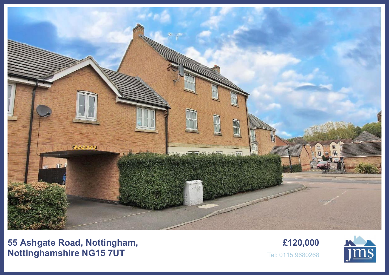

# **55 Ashgate Road, Nottingham, Nottinghamshire NG15 7UT**



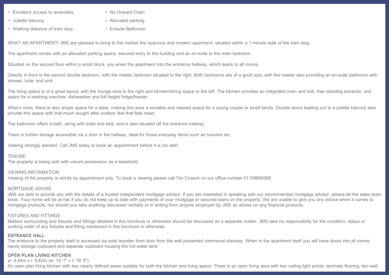• Excellent access to amenities

• No Onward Chain

- Juliette balcony
- Walking distance of tram stop
- Allocated parking
- Ensuite Bathroom

WHAT AN APARTMENT! JMS are pleased to bring to the market this spacious and modern apartment, situated within a 1-minute walk of the tram stop.

The apartment comes with an allocated parking space, secured entry to the building and an en-suite to the main bedroom.

Situated on the second floor within a small block, you enter the apartment into the entrance hallway, which leads to all rooms.

Directly in front is the second double bedroom, with the master bedroom situated to the right. Both bedrooms are of a good size, with the master also providing an en-suite bathroom with shower, toiler and sink.

The living space is of a great layout, with the lounge area to the right and kitchen/dining space to the left. The kitchen provides an integrated oven and hob, free standing extractor, and space for a washing machine, dishwasher and full height fridge/freezer.

What's more, there is also ample space for a table, making this area a sociable and relaxed space for a young couple or small family. Double doors leading out to a juliette balcony also provide this space with that much sought after outdoor feel that flats need.

The bathroom offers a bath, along with toilet and sink, and is also situated off the entrance hallway.

There is further storage accessible via a door in the hallway, ideal for those everyday items such as hoovers etc.

Viewing strongly advised. Call JMS today to book an appointment before it is too late!

# **TENURE**

The property is being sold with vacant possession as a leasehold.

### VIEWING INFORMATION

Viewing of the property is strictly by appointment only. To book a viewing please call Tim Crowch on our office number 01159680268

# MORTGAGE ADVISE

 JMS are able to provide you with the details of a trusted independent mortgage advisor. If you are interested in speaking with our recommended mortgage advisor, please let the sales team know. Your home will be at risk if you do not keep up to date with payments of your mortgage or secured loans on the property. We are unable to give you any advice when it comes to mortgage products, nor should you take anything discussed verbally or in writing from anyone employed by JMS as advise on any financial products.

# FIXTURES AND FITTINGS

 Matters surrounding and fixtures and fittings detailed in this brochure or otherwise should be discussed as a separate matter. JMS take no responsibility for the condition, status or working order of any fixtures and fitting mentioned in this brochure or otherwise

# **ENTRANCE HALL**

 The entrance to the property itself is accessed via solid wooden front door from the well presented communal stairway. When in the apartment itself you will have doors into all rooms, handy storage cupboard and separate cupboard housing the hot water tank.

# **OPEN PLAN LIVING KITCHEN**

 w: 4.44m x l: 5.62m (w: 14' 7" x l: 18' 5") An open plan living kitchen with two clearly defined areas suitable for both the kitchen and living space. There is an open living area with two ceiling light points, laminate flooring, two wall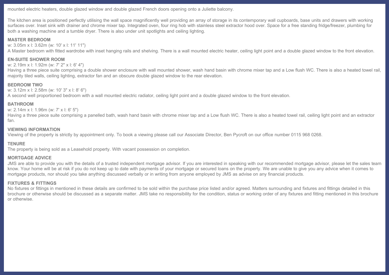mounted electric heaters, double glazed window and double glazed French doors opening onto a Juliette balcony.

The kitchen area is positioned perfectly utilising the wall space magnificently well providing an array of storage in its contemporary wall cupboards, base units and drawers with working surfaces over. Inset sink with drainer and chrome mixer tap. Integrated oven, four ring hob with stainless steel extractor hood over. Space for a free standing fridge/freezer, plumbing for both a washing machine and a tumble dryer. There is also under unit spotlights and ceiling lighting.

## **MASTER BEDROOM**

w: 3.05m x l: 3.62m (w: 10' x l: 11' 11")

A Master bedroom with fitted wardrobe with inset hanging rails and shelving. There is a wall mounted electric heater, ceiling light point and a double glazed window to the front elevation.

## **EN-SUITE SHOWER ROOM**

w: 2.19m x l: 1.92m (w: 7' 2" x l: 6' 4")

 Having a three piece suite comprising a double shower enclosure with wall mounted shower, wash hand basin with chrome mixer tap and a Low flush WC. There is also a heated towel rail, majority tiled walls, ceiling lighting, extractor fan and an obscure double glazed window to the rear elevation.

# **BEDROOM TWO**

w: 3.12m x l: 2.58m (w: 10' 3" x l: 8' 6")

A second well proportioned bedroom with a wall mounted electric radiator, ceiling light point and a double glazed window to the front elevation.

## **BATHROOM**

#### w: 2.14m x l: 1.96m (w: 7' x l: 6' 5")

 Having a three piece suite comprising a panelled bath, wash hand basin with chrome mixer tap and a Low flush WC. There is also a heated towel rail, ceiling light point and an extractor fan.

### **VIEWING INFORMATION**

Viewing of the property is strictly by appointment only. To book a viewing please call our Associate Director, Ben Pycroft on our office number 0115 968 0268.

# **TENURE**

The property is being sold as a Leasehold property. With vacant possession on completion.

### **MORTGAGE ADVICE**

 JMS are able to provide you with the details of a trusted independent mortgage advisor. If you are interested in speaking with our recommended mortgage advisor, please let the sales team know. Your home will be at risk if you do not keep up to date with payments of your mortgage or secured loans on the property. We are unable to give you any advice when it comes to mortgage products, nor should you take anything discussed verbally or in writing from anyone employed by JMS as advise on any financial products.

# **FIXTURES & FITTINGS**

 No fixtures or fittings in mentioned in these details are confirmed to be sold within the purchase price listed and/or agreed. Matters surrounding and fixtures and fittings detailed in this brochure or otherwise should be discussed as a separate matter. JMS take no responsibility for the condition, status or working order of any fixtures and fitting mentioned in this brochure or otherwise.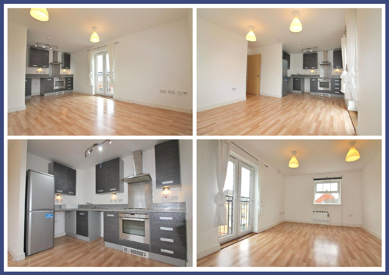





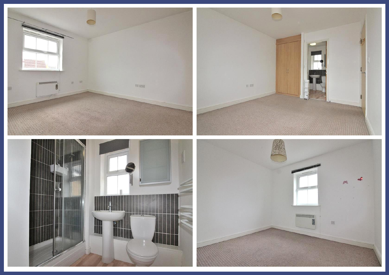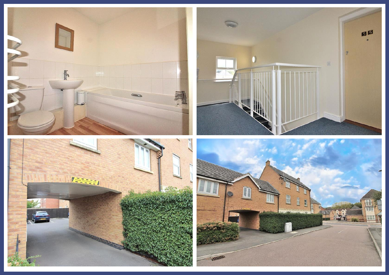